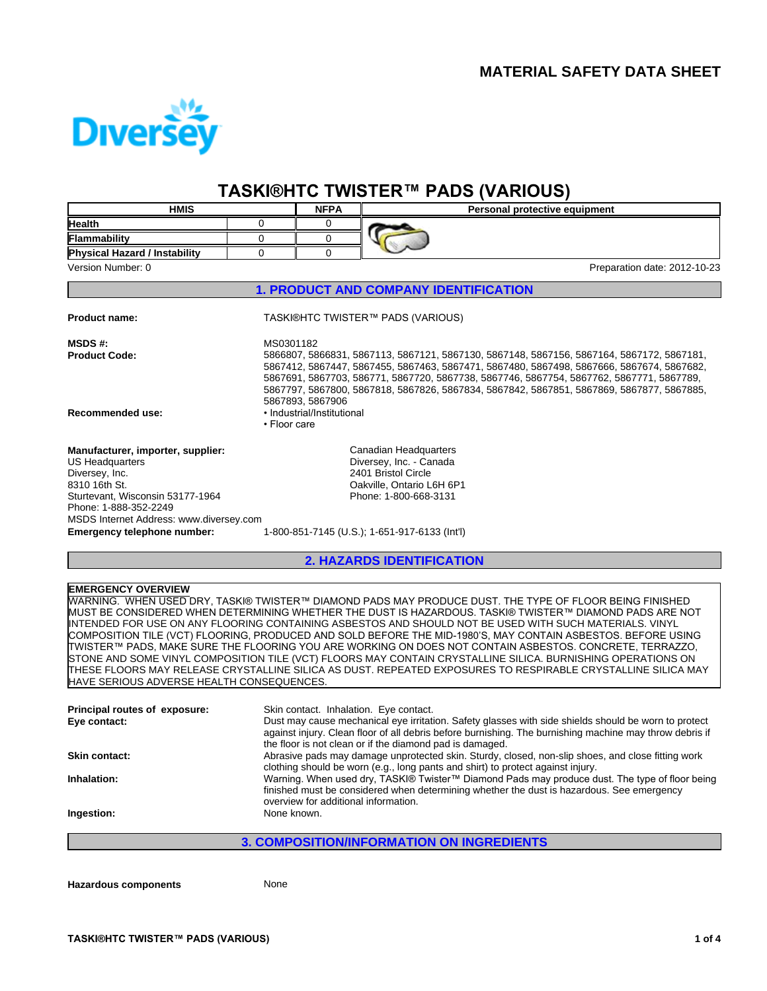

# **TASKI®HTCTWISTER™ PADS(VARIOUS)**

| <b>HMIS</b>                                                                                                                                                                                                                    |                           | <b>NFPA</b>                                    | Personal protective equipment                                                                                                                                                                                                                                                                                                                                                                                                                                                                                                                                                                                                                                                                                                                                                           |
|--------------------------------------------------------------------------------------------------------------------------------------------------------------------------------------------------------------------------------|---------------------------|------------------------------------------------|-----------------------------------------------------------------------------------------------------------------------------------------------------------------------------------------------------------------------------------------------------------------------------------------------------------------------------------------------------------------------------------------------------------------------------------------------------------------------------------------------------------------------------------------------------------------------------------------------------------------------------------------------------------------------------------------------------------------------------------------------------------------------------------------|
| <b>Health</b>                                                                                                                                                                                                                  | 0                         | 0                                              |                                                                                                                                                                                                                                                                                                                                                                                                                                                                                                                                                                                                                                                                                                                                                                                         |
| Flammability                                                                                                                                                                                                                   | 0                         | 0                                              |                                                                                                                                                                                                                                                                                                                                                                                                                                                                                                                                                                                                                                                                                                                                                                                         |
| Physical Hazard / Instability                                                                                                                                                                                                  | 0                         | 0                                              |                                                                                                                                                                                                                                                                                                                                                                                                                                                                                                                                                                                                                                                                                                                                                                                         |
| Version Number: 0                                                                                                                                                                                                              |                           |                                                | Preparation date: 2012-10-23                                                                                                                                                                                                                                                                                                                                                                                                                                                                                                                                                                                                                                                                                                                                                            |
|                                                                                                                                                                                                                                |                           |                                                | <b>1. PRODUCT AND COMPANY IDENTIFICATION</b>                                                                                                                                                                                                                                                                                                                                                                                                                                                                                                                                                                                                                                                                                                                                            |
| Product name:                                                                                                                                                                                                                  |                           |                                                | TASKI®HTC TWISTER™ PADS (VARIOUS)                                                                                                                                                                                                                                                                                                                                                                                                                                                                                                                                                                                                                                                                                                                                                       |
| <b>MSDS#:</b><br>Product Code:<br>Recommended use:                                                                                                                                                                             | MS0301182<br>• Floor care | 5867893, 5867906<br>· Industrial/Institutional | 5866807, 5866831, 5867113, 5867121, 5867130, 5867148, 5867156, 5867164, 5867172, 5867181,<br>5867412, 5867447, 5867455, 5867463, 5867471, 5867480, 5867498, 5867666, 5867674, 5867682,<br>5867691, 5867703, 586771, 5867720, 5867738, 5867746, 5867754, 5867762, 5867771, 5867789,<br>5867797, 5867800, 5867818, 5867826, 5867834, 5867842, 5867851, 5867869, 5867877, 5867885,                                                                                                                                                                                                                                                                                                                                                                                                         |
| Manufacturer, importer, supplier:<br>US Headquarters<br>Diversey, Inc.<br>8310 16th St.<br>Sturtevant, Wisconsin 53177-1964<br>Phone: 1-888-352-2249<br>MSDS Internet Address: www.diversey.com<br>Emergency telephone number: |                           |                                                | Canadian Headquarters<br>Diversey, Inc. - Canada<br>2401 Bristol Circle<br>Oakville, Ontario L6H 6P1<br>Phone: 1-800-668-3131<br>1-800-851-7145 (U.S.); 1-651-917-6133 (Int'l)                                                                                                                                                                                                                                                                                                                                                                                                                                                                                                                                                                                                          |
|                                                                                                                                                                                                                                |                           |                                                |                                                                                                                                                                                                                                                                                                                                                                                                                                                                                                                                                                                                                                                                                                                                                                                         |
|                                                                                                                                                                                                                                |                           |                                                | <b>2. HAZARDS IDENTIFICATION</b>                                                                                                                                                                                                                                                                                                                                                                                                                                                                                                                                                                                                                                                                                                                                                        |
| <b>EMERGENCY OVERVIEW</b><br>HAVE SERIOUS ADVERSE HEALTH CONSEQUENCES.                                                                                                                                                         |                           |                                                | WARNING. WHEN USED DRY, TASKI® TWISTER™ DIAMOND PADS MAY PRODUCE DUST. THE TYPE OF FLOOR BEING FINISHED<br>MUST BE CONSIDERED WHEN DETERMINING WHETHER THE DUST IS HAZARDOUS. TASKI® TWISTER™ DIAMOND PADS ARE NOT<br>INTENDED FOR USE ON ANY FLOORING CONTAINING ASBESTOS AND SHOULD NOT BE USED WITH SUCH MATERIALS. VINYL<br>COMPOSITION TILE (VCT) FLOORING, PRODUCED AND SOLD BEFORE THE MID-1980'S, MAY CONTAIN ASBESTOS. BEFORE USING<br>TWISTER™ PADS. MAKE SURE THE FLOORING YOU ARE WORKING ON DOES NOT CONTAIN ASBESTOS. CONCRETE. TERRAZZO.<br>STONE AND SOME VINYL COMPOSITION TILE (VCT) FLOORS MAY CONTAIN CRYSTALLINE SILICA. BURNISHING OPERATIONS ON<br>ITHESE FLOORS MAY RELEASE CRYSTALLINE SILICA AS DUST. REPEATED EXPOSURES TO RESPIRABLE CRYSTALLINE SILICA MAY |
| Principal routes of exposure:<br>Eye contact:                                                                                                                                                                                  |                           |                                                | Skin contact. Inhalation. Eye contact.<br>Dust may cause mechanical eye irritation. Safety glasses with side shields should be worn to protect<br>against injury. Clean floor of all debris before burnishing. The burnishing machine may throw debris if<br>the floor is not clean or if the diamond pad is damaged.                                                                                                                                                                                                                                                                                                                                                                                                                                                                   |
| <b>Skin contact:</b>                                                                                                                                                                                                           |                           |                                                | Abrasive pads may damage unprotected skin. Sturdy, closed, non-slip shoes, and close fitting work                                                                                                                                                                                                                                                                                                                                                                                                                                                                                                                                                                                                                                                                                       |
| Inhalation:                                                                                                                                                                                                                    |                           | overview for additional information.           | clothing should be worn (e.g., long pants and shirt) to protect against injury.<br>Warning. When used dry, TASKI® Twister™ Diamond Pads may produce dust. The type of floor being<br>finished must be considered when determining whether the dust is hazardous. See emergency                                                                                                                                                                                                                                                                                                                                                                                                                                                                                                          |
| Ingestion:                                                                                                                                                                                                                     | None known.               |                                                |                                                                                                                                                                                                                                                                                                                                                                                                                                                                                                                                                                                                                                                                                                                                                                                         |
|                                                                                                                                                                                                                                |                           |                                                | <b>3. COMPOSITION/INFORMATION ON INGREDIENTS</b>                                                                                                                                                                                                                                                                                                                                                                                                                                                                                                                                                                                                                                                                                                                                        |
|                                                                                                                                                                                                                                |                           |                                                |                                                                                                                                                                                                                                                                                                                                                                                                                                                                                                                                                                                                                                                                                                                                                                                         |

**Hazardous components** None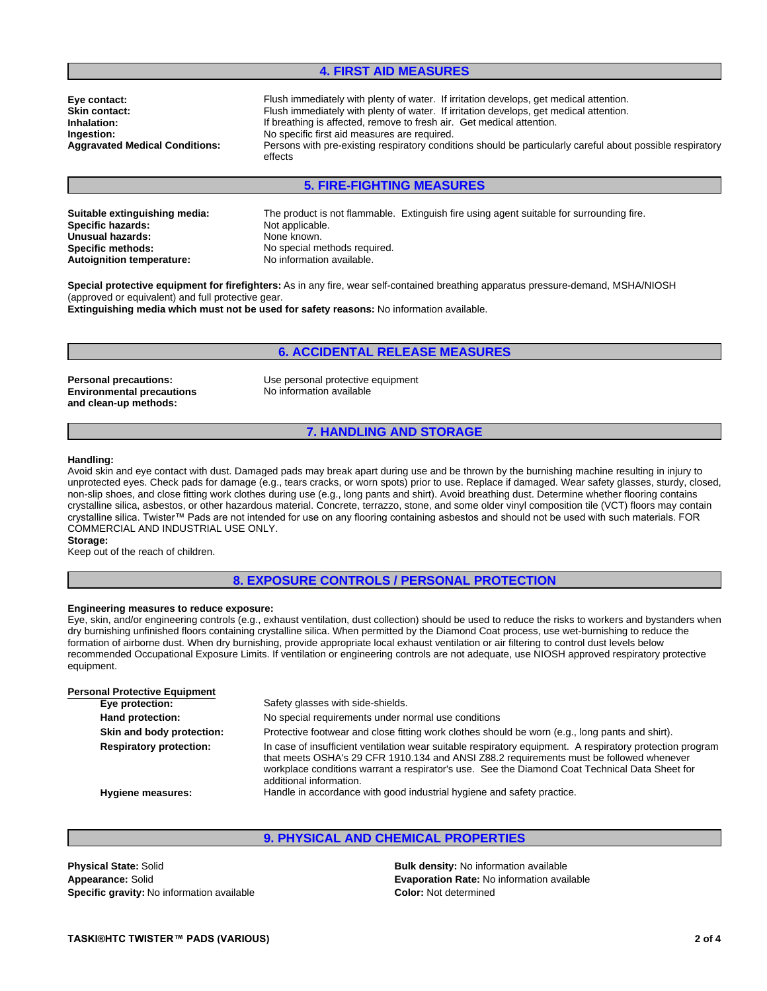## **4. FIRST AID MEASURES**

**Aggravated Medical Conditions: Eye contact: Inhalation: Ingestion: Skin contact:**

Flush immediately with plenty of water. If irritation develops, get medical attention. Persons with pre-existing respiratory conditions should be particularly careful about possible respiratory effects Flush immediately with plenty of water. If irritation develops, get medical attention. If breathing is affected, remove to fresh air. Get medical attention. No specific first aid measures are required.

## **5. FIRE-FIGHTING MEASURES**

**Specific hazards: Unusual hazards: Specific methods: Autoignition temperature: Suitable extinguishing media:** Not applicable. None known. No special methods required.<br>No information available. The product is not flammable. Extinguish fire using agent suitable for surrounding fire.

**Special protective equipment for firefighters:** As in any fire, wear self-contained breathing apparatus pressure-demand, MSHA/NIOSH (approved or equivalent) and full protective gear. **Extinguishing media which must not be used for safety reasons:** No information available.

**Environmental precautions and clean-up methods:**

**Personal precautions:** Use personal protective equipment No information available

#### **7. HANDLING AND STORAGE**

**6. ACCIDENTAL RELEASE MEASURES**

#### **Handling:**

Avoid skin and eye contact with dust. Damaged pads may break apart during use and be thrown by the burnishing machine resulting in injury to unprotected eyes. Check pads for damage (e.g., tears cracks, or worn spots) prior to use. Replace if damaged. Wear safety glasses, sturdy, closed, non-slip shoes, and close fitting work clothes during use (e.g., long pants and shirt). Avoid breathing dust. Determine whether flooring contains crystalline silica, asbestos, or other hazardous material. Concrete, terrazzo, stone, and some older vinyl composition tile (VCT) floors may contain crystalline silica. Twister™ Pads are not intended for use on any flooring containing asbestos and should not be used with such materials. FOR COMMERCIAL AND INDUSTRIAL USE ONLY.

#### **Storage:**

Keep out of the reach of children.

#### **8. EXPOSURE CONTROLS / PERSONAL PROTECTION**

#### **Engineering measures to reduce exposure:**

Eye, skin, and/or engineering controls (e.g., exhaust ventilation, dust collection) should be used to reduce the risks to workers and bystanders when dry burnishing unfinished floors containing crystalline silica. When permitted by the Diamond Coat process, use wet-burnishing to reduce the formation of airborne dust. When dry burnishing, provide appropriate local exhaust ventilation or air filtering to control dust levels below recommended Occupational Exposure Limits. If ventilation or engineering controls are not adequate, use NIOSH approved respiratory protective equipment.

| <b>Personal Protective Equipment</b> |                                                                                                                                                                                                                                                                                                                                   |
|--------------------------------------|-----------------------------------------------------------------------------------------------------------------------------------------------------------------------------------------------------------------------------------------------------------------------------------------------------------------------------------|
| Eye protection:                      | Safety glasses with side-shields.                                                                                                                                                                                                                                                                                                 |
| Hand protection:                     | No special requirements under normal use conditions                                                                                                                                                                                                                                                                               |
| Skin and body protection:            | Protective footwear and close fitting work clothes should be worn (e.g., long pants and shirt).                                                                                                                                                                                                                                   |
| <b>Respiratory protection:</b>       | In case of insufficient ventilation wear suitable respiratory equipment. A respiratory protection program<br>that meets OSHA's 29 CFR 1910.134 and ANSI Z88.2 requirements must be followed whenever<br>workplace conditions warrant a respirator's use. See the Diamond Coat Technical Data Sheet for<br>additional information. |
| Hygiene measures:                    | Handle in accordance with good industrial hygiene and safety practice.                                                                                                                                                                                                                                                            |
|                                      |                                                                                                                                                                                                                                                                                                                                   |

#### **9. PHYSICAL AND CHEMICAL PROPERTIES**

**Appearance:** Solid **Physical State:** Solid **Specific gravity:** No information available **Color: Color: Not determined Color:** Not determined

**Bulk density:** No information available **Evaporation Rate:** No information available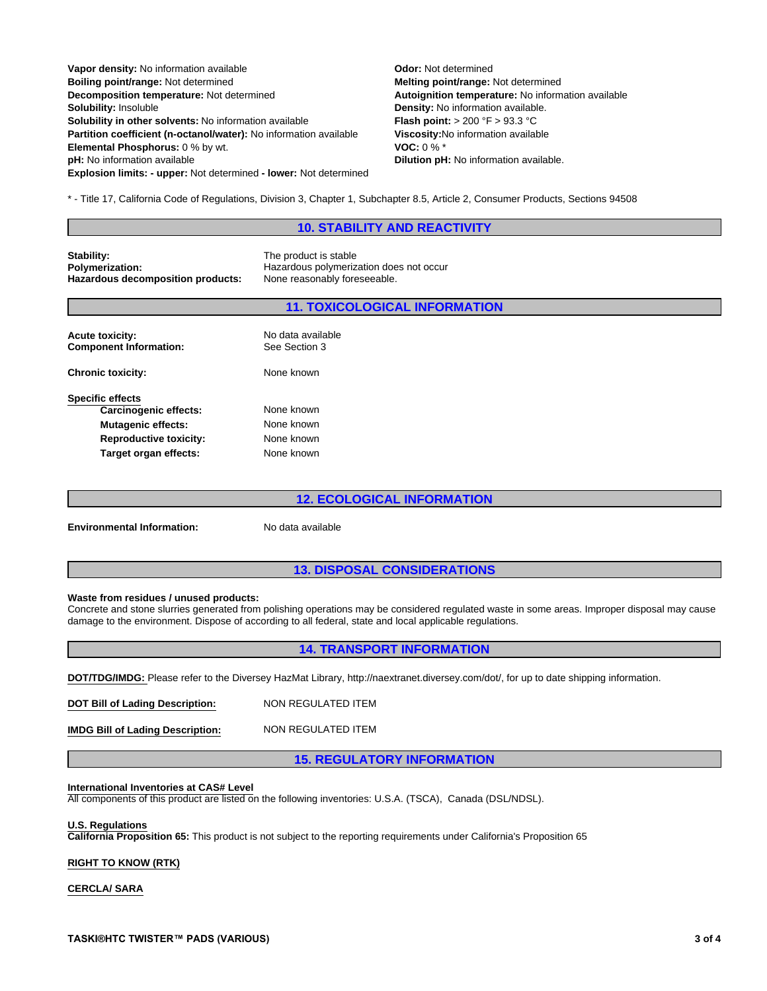| Vapor density: No information available                                  | <b>Odor: Not determ</b>   |
|--------------------------------------------------------------------------|---------------------------|
| Boiling point/range: Not determined                                      | Melting point/ran         |
| Decomposition temperature: Not determined                                | <b>Autoignition tem</b>   |
| Solubility: Insoluble                                                    | Density: No inforr        |
| <b>Solubility in other solvents: No information available</b>            | Flash point: $> 20$       |
| <b>Partition coefficient (n-octanol/water):</b> No information available | Viscosity: No info        |
| Elemental Phosphorus: 0 % by wt.                                         | VOC: $0\%$ *              |
| pH: No information available                                             | <b>Dilution pH: No in</b> |
| <b>Explosion limits: - upper: Not determined - lower: Not determined</b> |                           |

**VOC:** 0 % \* temperature: No information available termined **information available nformation available. Flash point:** > 200 °F > 93.3 °C **No information available.** *Mange:* **Not determined** 

\* - Title 17, California Code of Regulations, Division 3, Chapter 1, Subchapter 8.5, Article 2, Consumer Products, Sections 94508

#### **10. STABILITY AND REACTIVITY**

**Stability: Polymerization: Hazardous decomposition products:** 

The product is stable Hazardous polymerization does not occur<br>None reasonably foreseeable.

#### **11. TOXICOLOGICAL INFORMATION**

| <b>Acute toxicity:</b><br><b>Component Information:</b> | No data available<br>See Section 3 |
|---------------------------------------------------------|------------------------------------|
| <b>Chronic toxicity:</b>                                | None known                         |
| <b>Specific effects</b><br><b>Carcinogenic effects:</b> | None known                         |
| <b>Mutagenic effects:</b>                               | None known                         |
| <b>Reproductive toxicity:</b>                           | None known                         |
| Target organ effects:                                   | None known                         |

## **12. ECOLOGICAL INFORMATION**

**Environmental Information:** No data available

#### **13. DISPOSAL CONSIDERATIONS**

#### **Waste from residues / unused products:**

Concrete and stone slurries generated from polishing operations may be considered regulated waste in some areas. Improper disposal may cause damage to the environment. Dispose of according to all federal, state and local applicable regulations.

### **14. TRANSPORT INFORMATION**

**DOT/TDG/IMDG:** Please refer to the Diversey HazMat Library, http://naextranet.diversey.com/dot/, for up to date shipping information.

NON REGULATED ITEM **DOT Bill of Lading Description:** NON REGULATED ITEM **IMDG Bill of Lading Description:**

**15. REGULATORY INFORMATION**

#### **International Inventories at CAS# Level**

All components of this product are listed on the following inventories: U.S.A. (TSCA), Canada (DSL/NDSL).

#### **U.S. Regulations**

**California Proposition 65:** This product is not subject to the reporting requirements under California's Proposition 65

## **RIGHT TO KNOW (RTK)**

#### **CERCLA/ SARA**